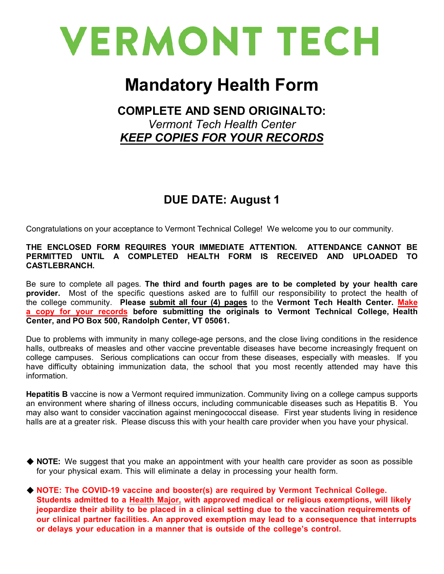

## **Mandatory Health Form**

## **COMPLETE AND SEND ORIGINALTO:**  *Vermont Tech Health Center KEEP COPIES FOR YOUR RECORDS*

## **DUE DATE: August 1**

Congratulations on your acceptance to Vermont Technical College! We welcome you to our community.

#### **THE ENCLOSED FORM REQUIRES YOUR IMMEDIATE ATTENTION. ATTENDANCE CANNOT BE PERMITTED UNTIL A COMPLETED HEALTH FORM IS RECEIVED AND UPLOADED TO CASTLEBRANCH.**

Be sure to complete all pages. **The third and fourth pages are to be completed by your health care provider.** Most of the specific questions asked are to fulfill our responsibility to protect the health of the college community. **Please submit all four (4) pages** to the **Vermont Tech Health Center. Make a copy for your records before submitting the originals to Vermont Technical College, Health Center, and PO Box 500, Randolph Center, VT 05061.** 

Due to problems with immunity in many college-age persons, and the close living conditions in the residence halls, outbreaks of measles and other vaccine preventable diseases have become increasingly frequent on college campuses. Serious complications can occur from these diseases, especially with measles. If you have difficulty obtaining immunization data, the school that you most recently attended may have this information.

**Hepatitis B** vaccine is now a Vermont required immunization. Community living on a college campus supports an environment where sharing of illness occurs, including communicable diseases such as Hepatitis B. You may also want to consider vaccination against meningococcal disease. First year students living in residence halls are at a greater risk. Please discuss this with your health care provider when you have your physical.

- ◆ NOTE: We suggest that you make an appointment with your health care provider as soon as possible for your physical exam. This will eliminate a delay in processing your health form.
- **NOTE: The COVID-19 vaccine and booster(s) are required by Vermont Technical College. Students admitted to a Health Major, with approved medical or religious exemptions, will likely jeopardize their ability to be placed in a clinical setting due to the vaccination requirements of our clinical partner facilities. An approved exemption may lead to a consequence that interrupts or delays your education in a manner that is outside of the college's control.**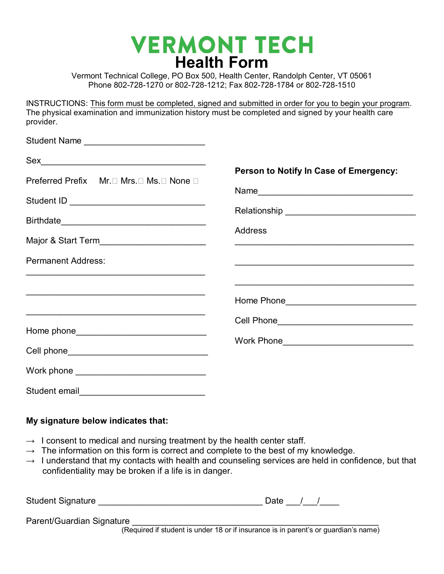# **VERMONT TECH Health Form**

Vermont Technical College, PO Box 500, Health Center, Randolph Center, VT 05061 Phone 802-728-1270 or 802-728-1212; Fax 802-728-1784 or 802-728-1510

INSTRUCTIONS: This form must be completed, signed and submitted in order for you to begin your program. The physical examination and immunization history must be completed and signed by your health care provider.

| Student Name _______________________________                                                                                                                                                                                                                                                                                                                        |                                                                                                                       |
|---------------------------------------------------------------------------------------------------------------------------------------------------------------------------------------------------------------------------------------------------------------------------------------------------------------------------------------------------------------------|-----------------------------------------------------------------------------------------------------------------------|
| $\begin{picture}(20,10) \put(0,0){\vector(1,0){100}} \put(15,0){\vector(1,0){100}} \put(15,0){\vector(1,0){100}} \put(15,0){\vector(1,0){100}} \put(15,0){\vector(1,0){100}} \put(15,0){\vector(1,0){100}} \put(15,0){\vector(1,0){100}} \put(15,0){\vector(1,0){100}} \put(15,0){\vector(1,0){100}} \put(15,0){\vector(1,0){100}} \put(15,0){\vector(1,0){100}} \$ |                                                                                                                       |
| Preferred Prefix Mr.□ Mrs.□ Ms.□ None □<br>Major & Start Term__________________________                                                                                                                                                                                                                                                                             | Person to Notify In Case of Emergency:<br><b>Address</b>                                                              |
| <b>Permanent Address:</b>                                                                                                                                                                                                                                                                                                                                           | <u> La contrada de la contrada de la contrada de la contrada de la contrada de la contrada de la contrada de la c</u> |
|                                                                                                                                                                                                                                                                                                                                                                     |                                                                                                                       |
| <u> 2008 - Johann Johann Stoff, deutscher Stoffen und der Stoffen und der Stoffen und der Stoffen und der Stoffen</u>                                                                                                                                                                                                                                               | Cell Phone________________________________                                                                            |
|                                                                                                                                                                                                                                                                                                                                                                     | Work Phone_________________________________                                                                           |
|                                                                                                                                                                                                                                                                                                                                                                     |                                                                                                                       |
| Student email                                                                                                                                                                                                                                                                                                                                                       |                                                                                                                       |

### **My signature below indicates that:**

- $\rightarrow$  I consent to medical and nursing treatment by the health center staff.
- $\rightarrow$  The information on this form is correct and complete to the best of my knowledge.
- $\rightarrow$  I understand that my contacts with health and counseling services are held in confidence, but that confidentiality may be broken if a life is in danger.

| <b>Student Signature</b>                              |  |  |  |  | Date |  |  |
|-------------------------------------------------------|--|--|--|--|------|--|--|
| Parent/Guardian Signature<br>$\overline{\phantom{a}}$ |  |  |  |  |      |  |  |

(Required if student is under 18 or if insurance is in parent's or guardian's name)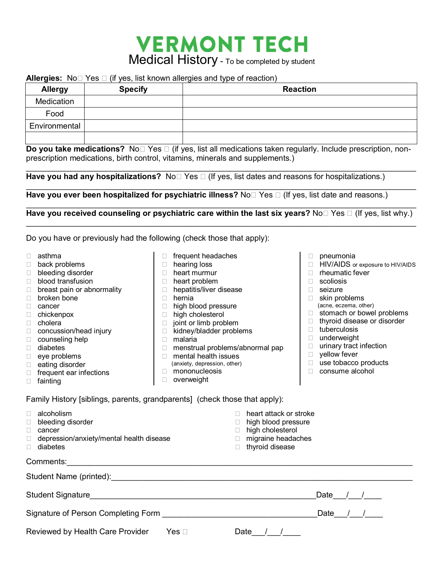## **VERMONT TECH** Medical History - To be completed by student

#### **Allergies:**  $N_0 \cap Y$ es  $\cap$  (if yes, list known allergies and type of reaction)

| <b>Allergy</b> | <b>Specify</b> | <b>Reaction</b> |
|----------------|----------------|-----------------|
| Medication     |                |                 |
| Food           |                |                 |
| Environmental  |                |                 |
|                |                |                 |

**Do you take medications?** No□ Yes □ (if yes, list all medications taken regularly. Include prescription, nonprescription medications, birth control, vitamins, minerals and supplements.)

 $\_$  ,  $\_$  ,  $\_$  ,  $\_$  ,  $\_$  ,  $\_$  ,  $\_$  ,  $\_$  ,  $\_$  ,  $\_$  ,  $\_$  ,  $\_$  ,  $\_$  ,  $\_$  ,  $\_$  ,  $\_$  ,  $\_$  ,  $\_$  ,  $\_$  ,  $\_$  ,  $\_$  ,  $\_$  ,  $\_$  ,  $\_$  ,  $\_$  ,  $\_$  ,  $\_$  ,  $\_$  ,  $\_$  ,  $\_$  ,  $\_$  ,  $\_$  ,  $\_$  ,  $\_$  ,  $\_$  ,  $\_$  ,  $\_$  , Have you had any hospitalizations? No **Yes II** (If yes, list dates and reasons for hospitalizations.)

 $\mathcal{L}_\mathcal{L} = \{ \mathcal{L}_\mathcal{L} = \{ \mathcal{L}_\mathcal{L} = \{ \mathcal{L}_\mathcal{L} = \{ \mathcal{L}_\mathcal{L} = \{ \mathcal{L}_\mathcal{L} = \{ \mathcal{L}_\mathcal{L} = \{ \mathcal{L}_\mathcal{L} = \{ \mathcal{L}_\mathcal{L} = \{ \mathcal{L}_\mathcal{L} = \{ \mathcal{L}_\mathcal{L} = \{ \mathcal{L}_\mathcal{L} = \{ \mathcal{L}_\mathcal{L} = \{ \mathcal{L}_\mathcal{L} = \{ \mathcal{L}_\mathcal{$ Have you ever been hospitalized for psychiatric illness? No  $\Box$  Yes  $\Box$  (If yes, list date and reasons.)

 $\_$  , and the set of the set of the set of the set of the set of the set of the set of the set of the set of the set of the set of the set of the set of the set of the set of the set of the set of the set of the set of th **Have you received counseling or psychiatric care within the last six years?** No□ Yes □ (If yes, list why.)  $\_$  , and the set of the set of the set of the set of the set of the set of the set of the set of the set of the set of the set of the set of the set of the set of the set of the set of the set of the set of the set of th

Do you have or previously had the following (check those that apply):

- □ asthma
- □ back problems
- □ bleeding disorder
- □ blood transfusion
- $\Box$  breast pain or abnormality
- □ broken bone
- D cancer
- chickenpox
- □ cholera
- □ concussion/head injury
- □ counseling help
- diabetes
- eye problems
- □ eating disorder
- $\Box$  frequent ear infections
- □ fainting
- $\Box$  frequent headaches □ hearing loss
- 
- □ heart murmur
- □ heart problem
- □ hepatitis/liver disease
- hernia
- □ high blood pressure
- □ high cholesterol
- $\Box$  joint or limb problem
- $\Box$  kidney/bladder problems
- $\Box$  malaria
- menstrual problems/abnormal pap □ mental health issues
- (anxiety, depression, other)
- □ mononucleosis
- D overweight
- $\Box$  pneumonia
- □ HIV/AIDS or exposure to HIV/AIDS
- $\Box$  rheumatic fever
- scoliosis
- seizure
- $\Box$  skin problems (acne, eczema, other)
- $\Box$  stomach or bowel problems
- $\Box$  thyroid disease or disorder
- tuberculosis
- □ underweight
- 
- □ urinary tract infection
- **D** yellow fever
- $\Box$  use tobacco products
- □ consume alcohol

Family History [siblings, parents, grandparents] (check those that apply):

| alcoholism<br>bleeding disorder<br>cancer<br>depression/anxiety/mental health disease<br>diabetes | heart attack or stroke<br>$\Box$ high blood pressure<br>$\Box$ high cholesterol<br>$\Box$ migraine headaches<br>$\Box$ thyroid disease |
|---------------------------------------------------------------------------------------------------|----------------------------------------------------------------------------------------------------------------------------------------|
| Comments:                                                                                         |                                                                                                                                        |
| Student Name (printed):                                                                           |                                                                                                                                        |
| <b>Student Signature</b>                                                                          | Date                                                                                                                                   |

Reviewed by Health Care Provider Yes  $\Box$ 

| . .<br>ີ |  |
|----------|--|
|          |  |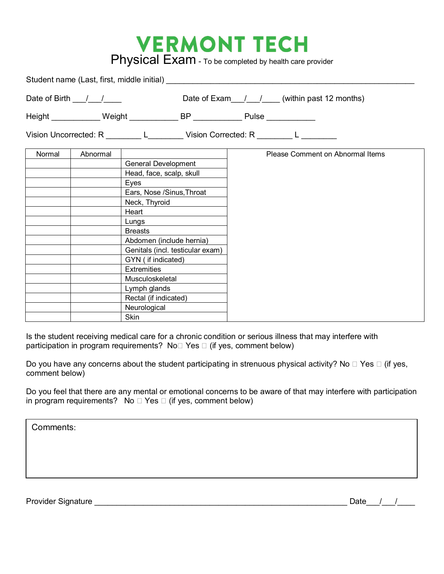# **VERMONT TECH**<br>Physical Exam - To be completed by health care provider

|        |                                    | Student name (Last, first, middle initial)                                      |                                                                                   |
|--------|------------------------------------|---------------------------------------------------------------------------------|-----------------------------------------------------------------------------------|
|        | Date of Birth $\frac{1}{\sqrt{2}}$ |                                                                                 | Date of Exam $1/$ (within past 12 months)                                         |
|        |                                    | Height ____________Weight ______________BP _______________ Pulse ______________ |                                                                                   |
|        |                                    |                                                                                 | Vision Uncorrected: R _________ L ________ Vision Corrected: R ________ L _______ |
| Normal | Abnormal                           |                                                                                 | Please Comment on Abnormal Items                                                  |
|        |                                    | <b>General Development</b>                                                      |                                                                                   |
|        |                                    | Head, face, scalp, skull                                                        |                                                                                   |
|        |                                    | Eyes                                                                            |                                                                                   |
|        |                                    | Ears, Nose /Sinus, Throat                                                       |                                                                                   |
|        |                                    | Neck, Thyroid                                                                   |                                                                                   |
|        |                                    | Heart                                                                           |                                                                                   |
|        | Lungs                              |                                                                                 |                                                                                   |
|        |                                    | <b>Breasts</b>                                                                  |                                                                                   |
|        |                                    | Abdomen (include hernia)                                                        |                                                                                   |
|        |                                    | Genitals (incl. testicular exam)                                                |                                                                                   |
|        |                                    | GYN (if indicated)                                                              |                                                                                   |
|        |                                    | <b>Extremities</b>                                                              |                                                                                   |
|        |                                    | Musculoskeletal                                                                 |                                                                                   |
|        |                                    | Lymph glands                                                                    |                                                                                   |
|        |                                    | Rectal (if indicated)                                                           |                                                                                   |
|        |                                    | Neurological                                                                    |                                                                                   |
|        |                                    | Skin                                                                            |                                                                                   |

Is the student receiving medical care for a chronic condition or serious illness that may interfere with participation in program requirements? No $\square$  Yes  $\square$  (if yes, comment below)

Do you have any concerns about the student participating in strenuous physical activity? No  $\Box$  Yes  $\Box$  (if yes, comment below)

Do you feel that there are any mental or emotional concerns to be aware of that may interfere with participation in program requirements? No  $\Box$  Yes  $\Box$  (if yes, comment below)

Comments:

Provider Signature \_\_\_\_\_\_\_\_\_\_\_\_\_\_\_\_\_\_\_\_\_\_\_\_\_\_\_\_\_\_\_\_\_\_\_\_\_\_\_\_\_\_\_\_\_\_\_\_\_\_\_\_\_\_\_\_\_ Date\_\_\_/\_\_\_/\_\_\_\_